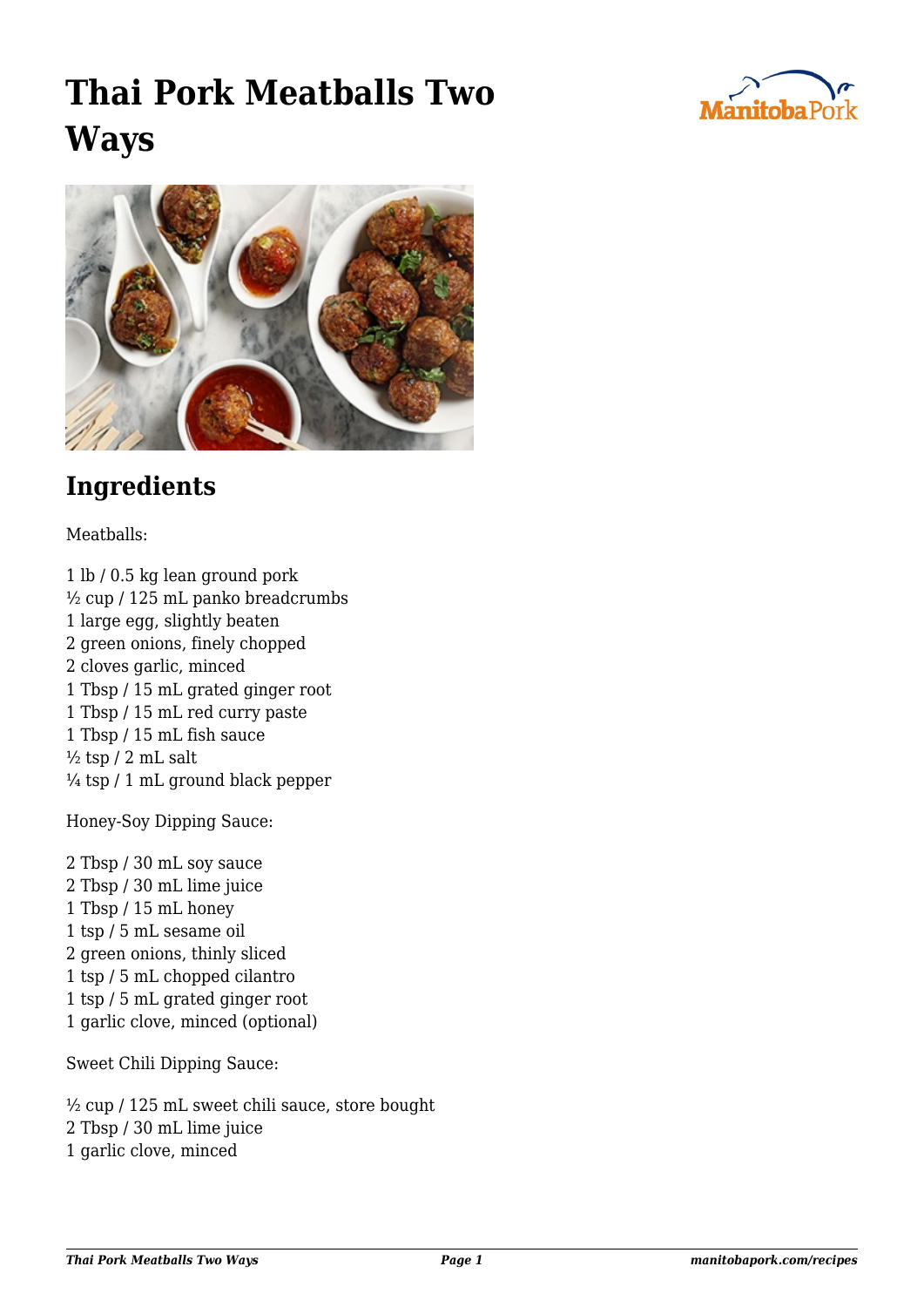## **Thai Pork Meatballs Two Ways**





## **Ingredients**

Meatballs:

1 lb / 0.5 kg lean ground pork ½ cup / 125 mL panko breadcrumbs 1 large egg, slightly beaten 2 green onions, finely chopped 2 cloves garlic, minced 1 Tbsp / 15 mL grated ginger root 1 Tbsp / 15 mL red curry paste 1 Tbsp / 15 mL fish sauce  $\frac{1}{2}$  tsp / 2 mL salt  $\frac{1}{4}$  tsp / 1 mL ground black pepper

Honey-Soy Dipping Sauce:

2 Tbsp / 30 mL soy sauce 2 Tbsp / 30 mL lime juice 1 Tbsp / 15 mL honey 1 tsp / 5 mL sesame oil 2 green onions, thinly sliced 1 tsp / 5 mL chopped cilantro 1 tsp / 5 mL grated ginger root 1 garlic clove, minced (optional)

Sweet Chili Dipping Sauce:

½ cup / 125 mL sweet chili sauce, store bought 2 Tbsp / 30 mL lime juice 1 garlic clove, minced